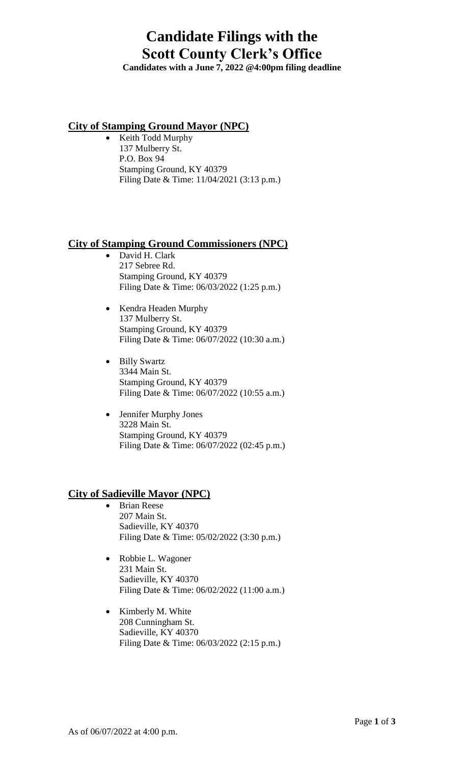### **Candidate Filings with the Scott County Clerk's Office**

**Candidates with a June 7, 2022 @4:00pm filing deadline**

#### **City of Stamping Ground Mayor (NPC)**

• Keith Todd Murphy 137 Mulberry St. P.O. Box 94 Stamping Ground, KY 40379 Filing Date & Time: 11/04/2021 (3:13 p.m.)

#### **City of Stamping Ground Commissioners (NPC)**

- David H. Clark 217 Sebree Rd. Stamping Ground, KY 40379 Filing Date & Time: 06/03/2022 (1:25 p.m.)
- Kendra Headen Murphy 137 Mulberry St. Stamping Ground, KY 40379 Filing Date & Time: 06/07/2022 (10:30 a.m.)
- Billy Swartz 3344 Main St. Stamping Ground, KY 40379 Filing Date & Time: 06/07/2022 (10:55 a.m.)
- Jennifer Murphy Jones 3228 Main St. Stamping Ground, KY 40379 Filing Date & Time: 06/07/2022 (02:45 p.m.)

#### **City of Sadieville Mayor (NPC)**

- Brian Reese 207 Main St. Sadieville, KY 40370 Filing Date & Time: 05/02/2022 (3:30 p.m.)
- Robbie L. Wagoner 231 Main St. Sadieville, KY 40370 Filing Date & Time: 06/02/2022 (11:00 a.m.)
- Kimberly M. White 208 Cunningham St. Sadieville, KY 40370 Filing Date & Time: 06/03/2022 (2:15 p.m.)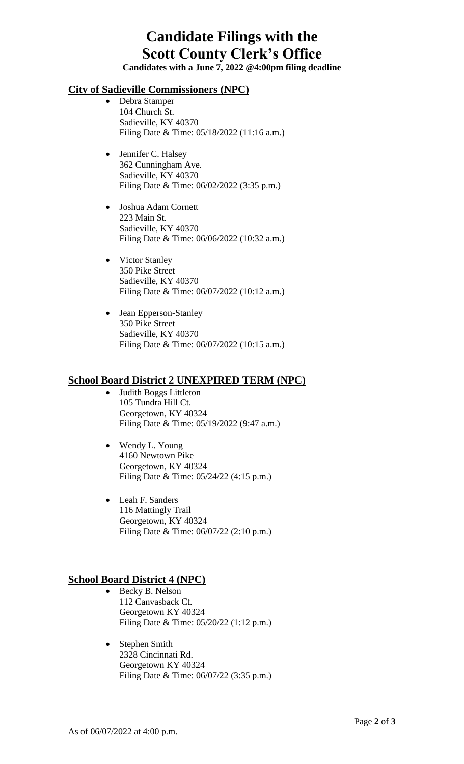# **Candidate Filings with the Scott County Clerk's Office**

**Candidates with a June 7, 2022 @4:00pm filing deadline**

#### **City of Sadieville Commissioners (NPC)**

- Debra Stamper 104 Church St. Sadieville, KY 40370 Filing Date & Time: 05/18/2022 (11:16 a.m.)
- Jennifer C. Halsey 362 Cunningham Ave. Sadieville, KY 40370 Filing Date & Time: 06/02/2022 (3:35 p.m.)
- Joshua Adam Cornett 223 Main St. Sadieville, KY 40370 Filing Date & Time: 06/06/2022 (10:32 a.m.)
- Victor Stanley 350 Pike Street Sadieville, KY 40370 Filing Date & Time: 06/07/2022 (10:12 a.m.)
- Jean Epperson-Stanley 350 Pike Street Sadieville, KY 40370 Filing Date & Time: 06/07/2022 (10:15 a.m.)

#### **School Board District 2 UNEXPIRED TERM (NPC)**

- Judith Boggs Littleton 105 Tundra Hill Ct. Georgetown, KY 40324 Filing Date & Time: 05/19/2022 (9:47 a.m.)
- Wendy L. Young 4160 Newtown Pike Georgetown, KY 40324 Filing Date & Time: 05/24/22 (4:15 p.m.)
- Leah F. Sanders 116 Mattingly Trail Georgetown, KY 40324 Filing Date & Time: 06/07/22 (2:10 p.m.)

#### **School Board District 4 (NPC)**

- Becky B. Nelson 112 Canvasback Ct. Georgetown KY 40324 Filing Date & Time: 05/20/22 (1:12 p.m.)
- Stephen Smith 2328 Cincinnati Rd. Georgetown KY 40324 Filing Date & Time: 06/07/22 (3:35 p.m.)